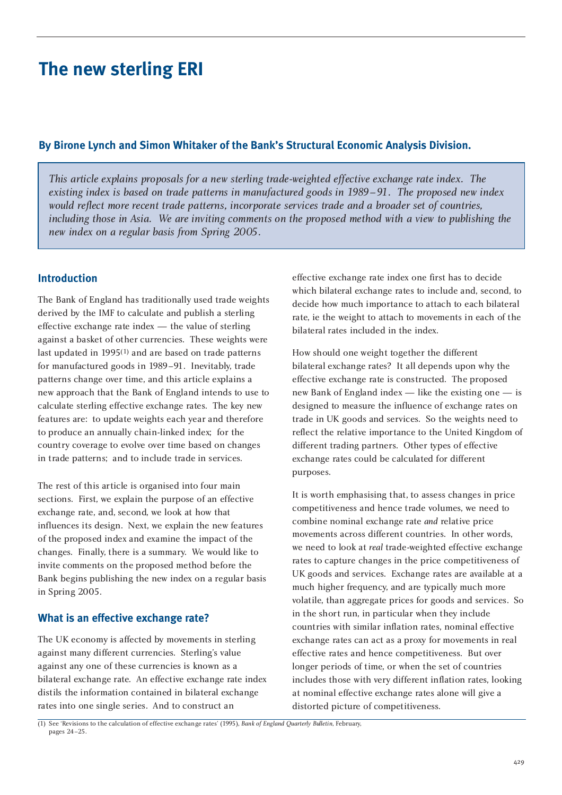# **The new sterling ERI**

### **By Birone Lynch and Simon Whitaker of the Bank's Structural Economic Analysis Division.**

*This article explains proposals for a new sterling trade-weighted effective exchange rate index. The existing index is based on trade patterns in manufactured goods in 1989–91. The proposed new index would reflect more recent trade patterns, incorporate services trade and a broader set of countries, including those in Asia. We are inviting comments on the proposed method with a view to publishing the new index on a regular basis from Spring 2005.* 

### **Introduction**

The Bank of England has traditionally used trade weights derived by the IMF to calculate and publish a sterling effective exchange rate index — the value of sterling against a basket of other currencies. These weights were last updated in 1995(1) and are based on trade patterns for manufactured goods in 1989–91. Inevitably, trade patterns change over time, and this article explains a new approach that the Bank of England intends to use to calculate sterling effective exchange rates. The key new features are: to update weights each year and therefore to produce an annually chain-linked index; for the country coverage to evolve over time based on changes in trade patterns; and to include trade in services.

The rest of this article is organised into four main sections. First, we explain the purpose of an effective exchange rate, and, second, we look at how that influences its design. Next, we explain the new features of the proposed index and examine the impact of the changes. Finally, there is a summary. We would like to invite comments on the proposed method before the Bank begins publishing the new index on a regular basis in Spring 2005.

### **What is an effective exchange rate?**

The UK economy is affected by movements in sterling against many different currencies. Sterling's value against any one of these currencies is known as a bilateral exchange rate. An effective exchange rate index distils the information contained in bilateral exchange rates into one single series. And to construct an

effective exchange rate index one first has to decide which bilateral exchange rates to include and, second, to decide how much importance to attach to each bilateral rate, ie the weight to attach to movements in each of the bilateral rates included in the index.

How should one weight together the different bilateral exchange rates? It all depends upon why the effective exchange rate is constructed. The proposed new Bank of England index — like the existing one — is designed to measure the influence of exchange rates on trade in UK goods and services. So the weights need to reflect the relative importance to the United Kingdom of different trading partners. Other types of effective exchange rates could be calculated for different purposes.

It is worth emphasising that, to assess changes in price competitiveness and hence trade volumes, we need to combine nominal exchange rate *and* relative price movements across different countries. In other words, we need to look at *real* trade-weighted effective exchange rates to capture changes in the price competitiveness of UK goods and services. Exchange rates are available at a much higher frequency, and are typically much more volatile, than aggregate prices for goods and services. So in the short run, in particular when they include countries with similar inflation rates, nominal effective exchange rates can act as a proxy for movements in real effective rates and hence competitiveness. But over longer periods of time, or when the set of countries includes those with very different inflation rates, looking at nominal effective exchange rates alone will give a distorted picture of competitiveness.

(1) See 'Revisions to the calculation of effective exchange rates' (1995), *Bank of England Quarterly Bulletin*, February, pages 24–25.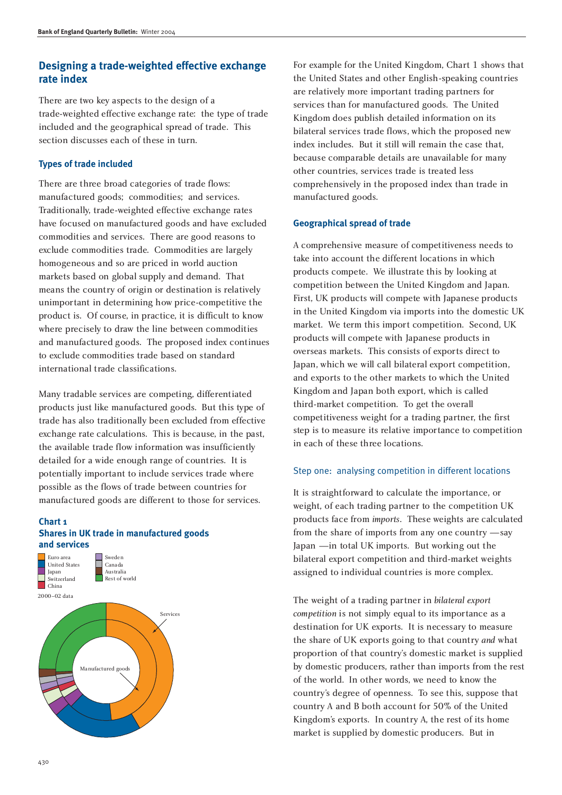### **Designing a trade-weighted effective exchange rate index**

There are two key aspects to the design of a trade-weighted effective exchange rate: the type of trade included and the geographical spread of trade. This section discusses each of these in turn.

#### **Types of trade included**

There are three broad categories of trade flows: manufactured goods; commodities; and services. Traditionally, trade-weighted effective exchange rates have focused on manufactured goods and have excluded commodities and services. There are good reasons to exclude commodities trade. Commodities are largely homogeneous and so are priced in world auction markets based on global supply and demand. That means the country of origin or destination is relatively unimportant in determining how price-competitive the product is. Of course, in practice, it is difficult to know where precisely to draw the line between commodities and manufactured goods. The proposed index continues to exclude commodities trade based on standard international trade classifications.

Many tradable services are competing, differentiated products just like manufactured goods. But this type of trade has also traditionally been excluded from effective exchange rate calculations. This is because, in the past, the available trade flow information was insufficiently detailed for a wide enough range of countries. It is potentially important to include services trade where possible as the flows of trade between countries for manufactured goods are different to those for services.

#### **Chart 1 Shares in UK trade in manufactured goods and services**



For example for the United Kingdom, Chart 1 shows that the United States and other English-speaking countries are relatively more important trading partners for services than for manufactured goods. The United Kingdom does publish detailed information on its bilateral services trade flows, which the proposed new index includes. But it still will remain the case that, because comparable details are unavailable for many other countries, services trade is treated less comprehensively in the proposed index than trade in manufactured goods.

#### **Geographical spread of trade**

A comprehensive measure of competitiveness needs to take into account the different locations in which products compete. We illustrate this by looking at competition between the United Kingdom and Japan. First, UK products will compete with Japanese products in the United Kingdom via imports into the domestic UK market. We term this import competition. Second, UK products will compete with Japanese products in overseas markets. This consists of exports direct to Japan, which we will call bilateral export competition, and exports to the other markets to which the United Kingdom and Japan both export, which is called third-market competition. To get the overall competitiveness weight for a trading partner, the first step is to measure its relative importance to competition in each of these three locations.

#### Step one: analysing competition in different locations

It is straightforward to calculate the importance, or weight, of each trading partner to the competition UK products face from *imports*. These weights are calculated from the share of imports from any one country —say Japan —in total UK imports. But working out the bilateral export competition and third-market weights assigned to individual countries is more complex.

The weight of a trading partner in *bilateral export competition* is not simply equal to its importance as a destination for UK exports. It is necessary to measure the share of UK exports going to that country *and* what proportion of that country's domestic market is supplied by domestic producers, rather than imports from the rest of the world. In other words, we need to know the country's degree of openness. To see this, suppose that country A and B both account for 50% of the United Kingdom's exports. In country A, the rest of its home market is supplied by domestic producers. But in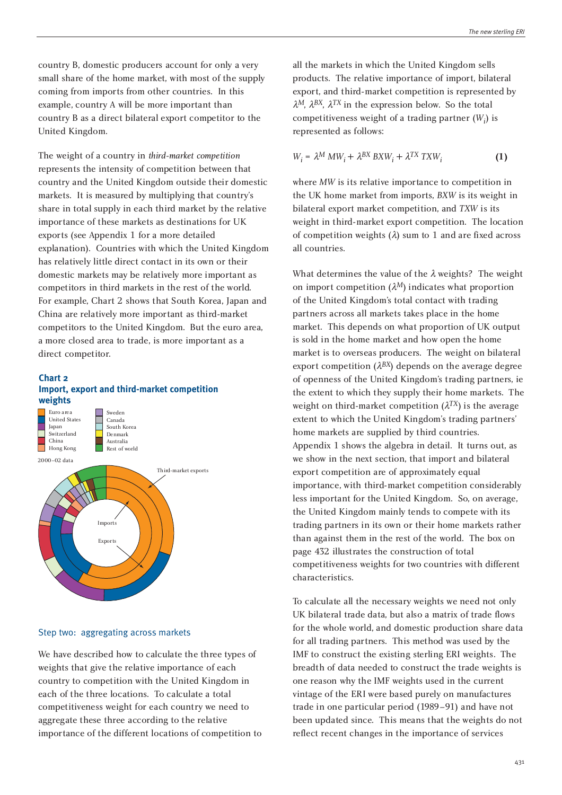country B, domestic producers account for only a very small share of the home market, with most of the supply coming from imports from other countries. In this example, country A will be more important than country B as a direct bilateral export competitor to the United Kingdom.

The weight of a country in *third-market competition* represents the intensity of competition between that country and the United Kingdom outside their domestic markets. It is measured by multiplying that country's share in total supply in each third market by the relative importance of these markets as destinations for UK exports (see Appendix 1 for a more detailed explanation). Countries with which the United Kingdom has relatively little direct contact in its own or their domestic markets may be relatively more important as competitors in third markets in the rest of the world. For example, Chart 2 shows that South Korea, Japan and China are relatively more important as third-market competitors to the United Kingdom. But the euro area, a more closed area to trade, is more important as a direct competitor.

#### **Chart 2 Import, export and third-market competition weights**



#### Step two: aggregating across markets

We have described how to calculate the three types of weights that give the relative importance of each country to competition with the United Kingdom in each of the three locations. To calculate a total competitiveness weight for each country we need to aggregate these three according to the relative importance of the different locations of competition to all the markets in which the United Kingdom sells products. The relative importance of import, bilateral export, and third-market competition is represented by  $\lambda^M$ ,  $\lambda^{BX}$ ,  $\lambda^{TX}$  in the expression below. So the total competitiveness weight of a trading partner (*Wi* ) is represented as follows:

$$
W_i = \lambda^M \, MW_i + \lambda^{BX} \, BXW_i + \lambda^{TX} \, TXW_i \tag{1}
$$

where *MW* is its relative importance to competition in the UK home market from imports, *BXW* is its weight in bilateral export market competition, and *TXW* is its weight in third-market export competition. The location of competition weights  $(\lambda)$  sum to 1 and are fixed across all countries.

What determines the value of the  $\lambda$  weights? The weight on import competition  $(\lambda^M)$  indicates what proportion of the United Kingdom's total contact with trading partners across all markets takes place in the home market. This depends on what proportion of UK output is sold in the home market and how open the home market is to overseas producers. The weight on bilateral export competition  $(\lambda^{BX})$  depends on the average degree of openness of the United Kingdom's trading partners, ie the extent to which they supply their home markets. The weight on third-market competition  $(\lambda^{TX})$  is the average extent to which the United Kingdom's trading partners' home markets are supplied by third countries. Appendix 1 shows the algebra in detail. It turns out, as we show in the next section, that import and bilateral export competition are of approximately equal importance, with third-market competition considerably less important for the United Kingdom. So, on average, the United Kingdom mainly tends to compete with its trading partners in its own or their home markets rather than against them in the rest of the world. The box on page 432 illustrates the construction of total competitiveness weights for two countries with different characteristics.

To calculate all the necessary weights we need not only UK bilateral trade data, but also a matrix of trade flows for the whole world, and domestic production share data for all trading partners. This method was used by the IMF to construct the existing sterling ERI weights. The breadth of data needed to construct the trade weights is one reason why the IMF weights used in the current vintage of the ERI were based purely on manufactures trade in one particular period (1989–91) and have not been updated since. This means that the weights do not reflect recent changes in the importance of services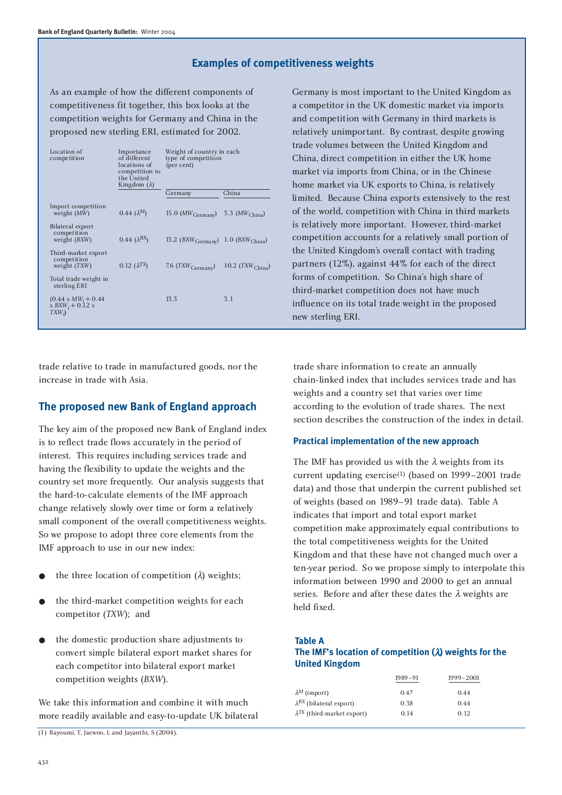### **Examples of competitiveness weights**

As an example of how the different components of competitiveness fit together, this box looks at the competition weights for Germany and China in the proposed new sterling ERI, estimated for 2002.

| Location of<br>competition                                   | Importance<br>of different<br>locations of<br>competition to<br>the United<br>Kingdom $(\lambda)$ | Weight of country in each<br>type of competition<br>(per cent) |                             |
|--------------------------------------------------------------|---------------------------------------------------------------------------------------------------|----------------------------------------------------------------|-----------------------------|
|                                                              |                                                                                                   | Germany                                                        | China                       |
| Import competition<br>weight (MW)                            | $0.44~(\lambda^{M})$                                                                              | 15.0 $(MW_{\text{Germany}})$                                   | 3.3 ( $MW_{\text{China}}$ ) |
| Bilateral export<br>competition<br>weight $(BXW)$            | 0.44 $(\lambda^{BX})$                                                                             | 13.2 $(BXW_{\text{Germany}})$ 1.0 $(BXW_{\text{China}})$       |                             |
| Third-market export<br>competition<br>weight (TXW)           | 0.12 $(\lambda^{TX})$                                                                             | 7.6 $(TXW_{\text{Germany}})$                                   | 10.2 $(TXW_{China})$        |
| Total trade weight in<br>sterling ERI                        |                                                                                                   |                                                                |                             |
| $(0.44 \times MW_i + 0.44)$<br>$x BXW_i + 0.12 x$<br>$TXW_i$ |                                                                                                   | 13.3                                                           | 3.1                         |
|                                                              |                                                                                                   |                                                                |                             |

trade relative to trade in manufactured goods, nor the increase in trade with Asia.

# **The proposed new Bank of England approach**

The key aim of the proposed new Bank of England index is to reflect trade flows accurately in the period of interest. This requires including services trade and having the flexibility to update the weights and the country set more frequently. Our analysis suggests that the hard-to-calculate elements of the IMF approach change relatively slowly over time or form a relatively small component of the overall competitiveness weights. So we propose to adopt three core elements from the IMF approach to use in our new index:

- the three location of competition  $(\lambda)$  weights;
- the third-market competition weights for each competitor (*TXW*); and
- the domestic production share adjustments to convert simple bilateral export market shares for each competitor into bilateral export market competition weights (*BXW*).

We take this information and combine it with much more readily available and easy-to-update UK bilateral

(1) Bayoumi, T, Jaewoo, L and Jayanthi, S (2004).

Germany is most important to the United Kingdom as a competitor in the UK domestic market via imports and competition with Germany in third markets is relatively unimportant. By contrast, despite growing trade volumes between the United Kingdom and China, direct competition in either the UK home market via imports from China, or in the Chinese home market via UK exports to China, is relatively limited. Because China exports extensively to the rest of the world, competition with China in third markets is relatively more important. However, third-market competition accounts for a relatively small portion of the United Kingdom's overall contact with trading partners (12%), against 44% for each of the direct forms of competition. So China's high share of third-market competition does not have much influence on its total trade weight in the proposed new sterling ERI.

trade share information to create an annually chain-linked index that includes services trade and has weights and a country set that varies over time according to the evolution of trade shares. The next section describes the construction of the index in detail.

#### **Practical implementation of the new approach**

The IMF has provided us with the  $\lambda$  weights from its current updating exercise(1) (based on 1999–2001 trade data) and those that underpin the current published set of weights (based on 1989–91 trade data). Table A indicates that import and total export market competition make approximately equal contributions to the total competitiveness weights for the United Kingdom and that these have not changed much over a ten-year period. So we propose simply to interpolate this information between 1990 and 2000 to get an annual series. Before and after these dates the  $\lambda$  weights are held fixed.

**Table A**

### **The IMF's location of competition (**l**) weights for the United Kingdom**

| 1989-91 | 1999-2001 |
|---------|-----------|
| 0.47    | 0.44      |
| 0.38    | 0.44      |
| 0.14    | 0.12      |
|         |           |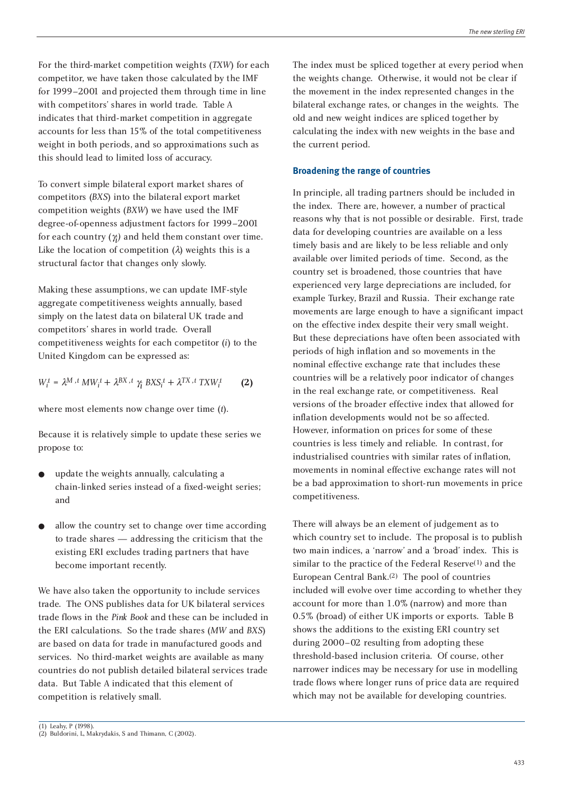For the third-market competition weights (*TXW*) for each competitor, we have taken those calculated by the IMF for 1999–2001 and projected them through time in line with competitors' shares in world trade. Table A indicates that third-market competition in aggregate accounts for less than 15% of the total competitiveness weight in both periods, and so approximations such as this should lead to limited loss of accuracy.

To convert simple bilateral export market shares of competitors (*BXS*) into the bilateral export market competition weights (*BXW*) we have used the IMF degree-of-openness adjustment factors for 1999–2001 for each country  $(\gamma_j)$  and held them constant over time. Like the location of competition  $(\lambda)$  weights this is a structural factor that changes only slowly.

Making these assumptions, we can update IMF-style aggregate competitiveness weights annually, based simply on the latest data on bilateral UK trade and competitors' shares in world trade. Overall competitiveness weights for each competitor (*i*) to the United Kingdom can be expressed as:

$$
W_i^t = \lambda^M \cdot ^t M W_i^t + \lambda^{BX} \cdot ^t \gamma_i^ \cdot BX S_i^t + \lambda^{TX} \cdot ^t TX W_i^t \hspace{10mm} \textbf{(2)}
$$

where most elements now change over time (*t*).

Because it is relatively simple to update these series we propose to:

- update the weights annually, calculating a chain-linked series instead of a fixed-weight series; and
- allow the country set to change over time according to trade shares — addressing the criticism that the existing ERI excludes trading partners that have become important recently.

We have also taken the opportunity to include services trade. The ONS publishes data for UK bilateral services trade flows in the *Pink Book* and these can be included in the ERI calculations. So the trade shares (*MW* and *BXS*) are based on data for trade in manufactured goods and services. No third-market weights are available as many countries do not publish detailed bilateral services trade data. But Table A indicated that this element of competition is relatively small.

The index must be spliced together at every period when the weights change. Otherwise, it would not be clear if the movement in the index represented changes in the bilateral exchange rates, or changes in the weights. The old and new weight indices are spliced together by calculating the index with new weights in the base and the current period.

#### **Broadening the range of countries**

In principle, all trading partners should be included in the index. There are, however, a number of practical reasons why that is not possible or desirable. First, trade data for developing countries are available on a less timely basis and are likely to be less reliable and only available over limited periods of time. Second, as the country set is broadened, those countries that have experienced very large depreciations are included, for example Turkey, Brazil and Russia. Their exchange rate movements are large enough to have a significant impact on the effective index despite their very small weight. But these depreciations have often been associated with periods of high inflation and so movements in the nominal effective exchange rate that includes these countries will be a relatively poor indicator of changes in the real exchange rate, or competitiveness. Real versions of the broader effective index that allowed for inflation developments would not be so affected. However, information on prices for some of these countries is less timely and reliable. In contrast, for industrialised countries with similar rates of inflation, movements in nominal effective exchange rates will not be a bad approximation to short-run movements in price competitiveness.

There will always be an element of judgement as to which country set to include. The proposal is to publish two main indices, a 'narrow' and a 'broad' index. This is similar to the practice of the Federal Reserve<sup>(1)</sup> and the European Central Bank.(2) The pool of countries included will evolve over time according to whether they account for more than 1.0% (narrow) and more than 0.5% (broad) of either UK imports or exports. Table B shows the additions to the existing ERI country set during 2000–02 resulting from adopting these threshold-based inclusion criteria. Of course, other narrower indices may be necessary for use in modelling trade flows where longer runs of price data are required which may not be available for developing countries.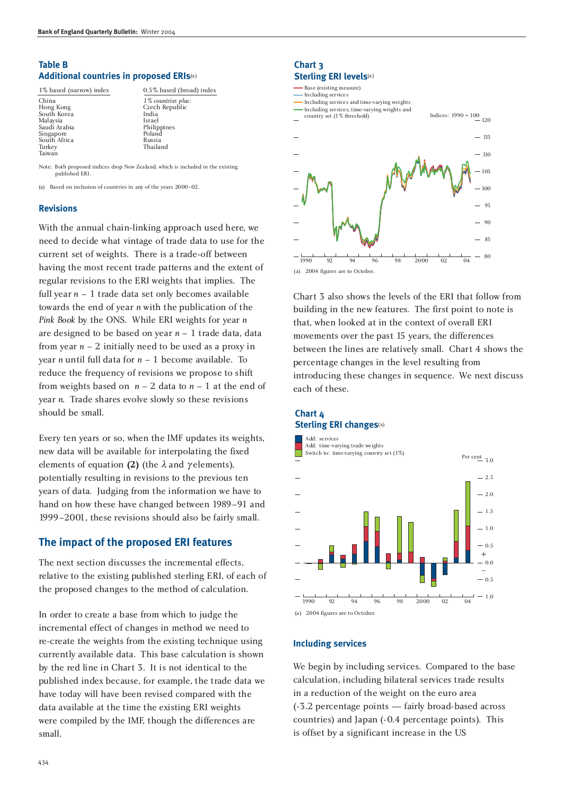### **Table B Additional countries in proposed ERIs**(a)

1% based (narrow) index 0.5% based (broad) index

| China        | $1\%$ co |
|--------------|----------|
| Hong Kong    | Czecl    |
| South Korea  | India    |
| Malaysia     | Israel   |
| Saudi Arabia | Philip   |
| Singapore    | Polan    |
| South Africa | Russi    |
| Turkey       | Thail    |
| Taiwan       |          |
|              |          |

China *1% countries plus:* Czech Republic<br>India Philippines Poland Russia Thailand

Note: Both proposed indices drop New Zealand, which is included in the existing published ERI.

(a) Based on inclusion of countries in any of the years 2000–02.

#### **Revisions**

With the annual chain-linking approach used here, we need to decide what vintage of trade data to use for the current set of weights. There is a trade-off between having the most recent trade patterns and the extent of regular revisions to the ERI weights that implies. The full year  $n - 1$  trade data set only becomes available towards the end of year *n* with the publication of the *Pink Book* by the ONS. While ERI weights for year *n* are designed to be based on year *n* – 1 trade data, data from year  $n - 2$  initially need to be used as a proxy in year *n* until full data for *n* – 1 become available. To reduce the frequency of revisions we propose to shift from weights based on  $n - 2$  data to  $n - 1$  at the end of year *n*. Trade shares evolve slowly so these revisions should be small.

Every ten years or so, when the IMF updates its weights, new data will be available for interpolating the fixed elements of equation (2) (the  $\lambda$  and  $\gamma$  elements), potentially resulting in revisions to the previous ten years of data. Judging from the information we have to hand on how these have changed between 1989–91 and 1999–2001, these revisions should also be fairly small.

### **The impact of the proposed ERI features**

The next section discusses the incremental effects, relative to the existing published sterling ERI, of each of the proposed changes to the method of calculation.

In order to create a base from which to judge the incremental effect of changes in method we need to re-create the weights from the existing technique using currently available data. This base calculation is shown by the red line in Chart 3. It is not identical to the published index because, for example, the trade data we have today will have been revised compared with the data available at the time the existing ERI weights were compiled by the IMF, though the differences are small.

### **Chart 3 Sterling ERI levels**(a)



Chart 3 also shows the levels of the ERI that follow from building in the new features. The first point to note is that, when looked at in the context of overall ERI movements over the past 15 years, the differences between the lines are relatively small. Chart 4 shows the percentage changes in the level resulting from introducing these changes in sequence. We next discuss each of these.

### **Chart 4 Sterling ERI changes**(a)



#### **Including services**

We begin by including services. Compared to the base calculation, including bilateral services trade results in a reduction of the weight on the euro area (-3.2 percentage points — fairly broad-based across countries) and Japan (-0.4 percentage points). This is offset by a significant increase in the US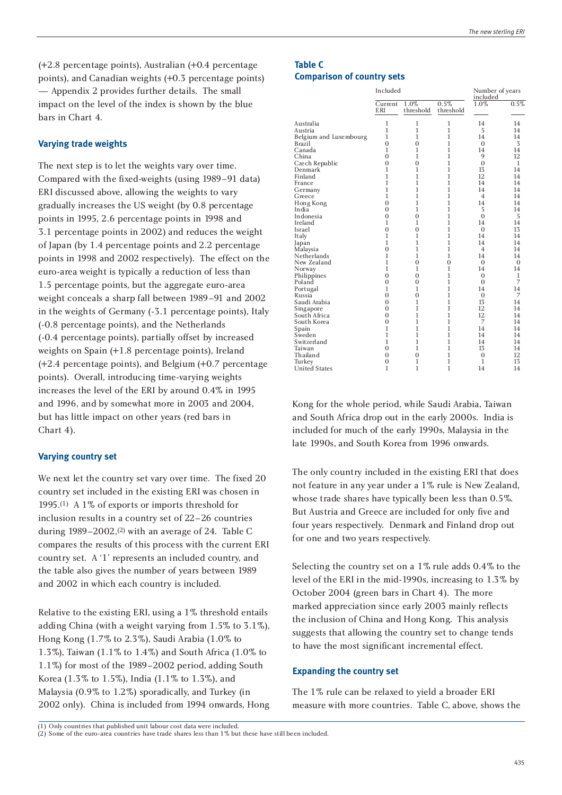(+2.8 percentage points), Australian (+0.4 percentage points), and Canadian weights (+0.3 percentage points) — Appendix 2 provides further details. The small impact on the level of the index is shown by the blue bars in Chart 4.

#### **Varying trade weights**

The next step is to let the weights vary over time. Compared with the fixed-weights (using 1989–91 data) ERI discussed above, allowing the weights to vary gradually increases the US weight (by 0.8 percentage points in 1995, 2.6 percentage points in 1998 and 3.1 percentage points in 2002) and reduces the weight of Japan (by 1.4 percentage points and 2.2 percentage points in 1998 and 2002 respectively). The effect on the euro-area weight is typically a reduction of less than 1.5 percentage points, but the aggregate euro-area weight conceals a sharp fall between 1989–91 and 2002 in the weights of Germany (-3.1 percentage points), Italy (-0.8 percentage points), and the Netherlands (-0.4 percentage points), partially offset by increased weights on Spain (+1.8 percentage points), Ireland (+2.4 percentage points), and Belgium (+0.7 percentage points). Overall, introducing time-varying weights increases the level of the ERI by around 0.4% in 1995 and 1996, and by somewhat more in 2003 and 2004, but has little impact on other years (red bars in Chart 4).

#### **Varying country set**

We next let the country set vary over time. The fixed 20 country set included in the existing ERI was chosen in 1995.(1) A 1% of exports or imports threshold for inclusion results in a country set of 22–26 countries during  $1989 - 2002$ ,<sup>(2)</sup> with an average of 24. Table C compares the results of this process with the current ERI country set. A '1' represents an included country, and the table also gives the number of years between 1989 and 2002 in which each country is included.

Relative to the existing ERI, using a 1% threshold entails adding China (with a weight varying from 1.5% to 3.1%), Hong Kong (1.7% to 2.3%), Saudi Arabia (1.0% to 1.3%), Taiwan (1.1% to 1.4%) and South Africa (1.0% to 1.1%) for most of the 1989–2002 period, adding South Korea (1.3% to 1.5%), India (1.1% to 1.3%), and Malaysia (0.9% to 1.2%) sporadically, and Turkey (in 2002 only). China is included from 1994 onwards, Hong

### **Table C Comparison of country sets**

|                        | Included              |                   | Number of years<br>included |                |                |
|------------------------|-----------------------|-------------------|-----------------------------|----------------|----------------|
|                        | Current<br><b>ERI</b> | 1.0%<br>threshold | 0.5%<br>threshold           | 1.0%           | 0.5%           |
| Australia              | 1                     | 1                 | 1                           | 14             | 14             |
| Austria                | 1                     | $\mathbf{1}$      | 1                           | 5              | 14             |
| Belgium and Luxembourg | 1                     | 1                 | 1                           | 14             | 14             |
| <b>Brazil</b>          | $\overline{0}$        | $\overline{0}$    | $\mathbf{1}$                | $\Omega$       | 3              |
| Canada                 | $\mathbf{1}$          | $\mathbf{1}$      | 1                           | 14             | 14             |
| China                  | $\overline{0}$        | 1                 | 1                           | 9              | 12             |
| Czech Republic         | $\overline{0}$        | $\theta$          | 1                           | $\theta$       | 1              |
| Denmark                | $\mathbf{1}$          | $\mathbf{1}$      | $\mathbf{1}$                | 13             | 14             |
| Finland                | $\mathbf{1}$          | 1                 | 1                           | 12             | 14             |
| France                 | 1                     | 1                 | 1                           | 14             | 14             |
| Germany                | $\mathbf{1}$          | $\mathbf{1}$      | $\mathbf{1}$                | 14             | 14             |
| Greece                 | $\mathbf{1}$          | 1                 | $\mathbf{1}$                | $\overline{4}$ | 14             |
| Hong Kong              | $\overline{0}$        | 1                 | 1                           | 14             | 14             |
| India                  | $\overline{0}$        | 1                 | 1                           | 5              | 14             |
| Indonesia              | $\overline{0}$        | $\overline{0}$    | $\mathbf{1}$                | $\theta$       | 5              |
| Ireland                | 1                     | 1                 | 1                           | 14             | 14             |
| Israel                 | $\overline{0}$        | $\overline{0}$    | $\mathbf{1}$                | $\overline{0}$ | 13             |
| Italy                  | 1                     | 1                 | 1                           | 14             | 14             |
| Japan                  | $\mathbf{1}$          | $\mathbf{1}$      | $\mathbf{1}$                | 14             | 14             |
| Malaysia               | $\overline{0}$        | 1                 | 1                           | $\overline{4}$ | 14             |
| Netherlands            | 1                     | 1                 | 1                           | 14             | 14             |
| New Zealand            | $\mathbf{1}$          | $\overline{0}$    | $\overline{0}$              | $\Omega$       | $\overline{0}$ |
| Norway                 | $\mathbf{1}$          | 1                 | $\mathbf{1}$                | 14             | 14             |
| Philippines            | $\overline{0}$        | $\overline{0}$    | 1                           | $\overline{0}$ | 1              |
| Poland                 | $\overline{0}$        | $\overline{0}$    | 1                           | $\overline{0}$ | 7              |
| Portugal               | 1                     | $\mathbf{1}$      | $\mathbf{1}$                | 14             | 14             |
| Russia                 | $\overline{0}$        | $\overline{0}$    | 1                           | $\mathbf{0}$   | 7              |
| Saudi Arabia           | $\overline{0}$        | 1                 | 1                           | 13             | 14             |
| Singapore              | $\theta$              | 1                 | 1                           | 12             | 14             |
| South Africa           | $\overline{0}$        | 1                 | $\mathbf{1}$                | 12             | 14             |
| South Korea            | $\overline{0}$        | 1                 | 1                           | 7              | 14             |
| Spain                  | $\mathbf{1}$          | 1                 | 1                           | 14             | 14             |
| Sweden                 | $\mathbf{1}$          | $\mathbf{1}$      | 1                           | 14             | 14             |
| Switzerland            | $\mathbf{1}$          | $\mathbf{1}$      | 1                           | 14             | 14             |
| Taiwan                 | $\overline{0}$        | $\mathbf{1}$      | 1                           | 13             | 14             |
| Thailand               | $\theta$              | $\overline{0}$    | 1                           | $\mathbf{0}$   | 12             |
| Turkey                 | $\mathbf{0}$          | $\mathbf{1}$      | 1                           | $\mathbf{1}$   | 13             |
| <b>United States</b>   | 1                     | $\mathbf{1}$      | $\mathbf{1}$                | 14             | 14             |

Kong for the whole period, while Saudi Arabia, Taiwan and South Africa drop out in the early 2000s. India is included for much of the early 1990s, Malaysia in the late 1990s, and South Korea from 1996 onwards.

The only country included in the existing ERI that does not feature in any year under a 1% rule is New Zealand, whose trade shares have typically been less than 0.5%. But Austria and Greece are included for only five and four years respectively. Denmark and Finland drop out for one and two years respectively.

Selecting the country set on a 1% rule adds 0.4% to the level of the ERI in the mid-1990s, increasing to 1.3% by October 2004 (green bars in Chart 4). The more marked appreciation since early 2003 mainly reflects the inclusion of China and Hong Kong. This analysis suggests that allowing the country set to change tends to have the most significant incremental effect.

#### **Expanding the country set**

The 1% rule can be relaxed to yield a broader ERI measure with more countries. Table C, above, shows the

(1) Only countries that published unit labour cost data were included. (2) Some of the euro-area countries have trade shares less than 1% but these have still been included.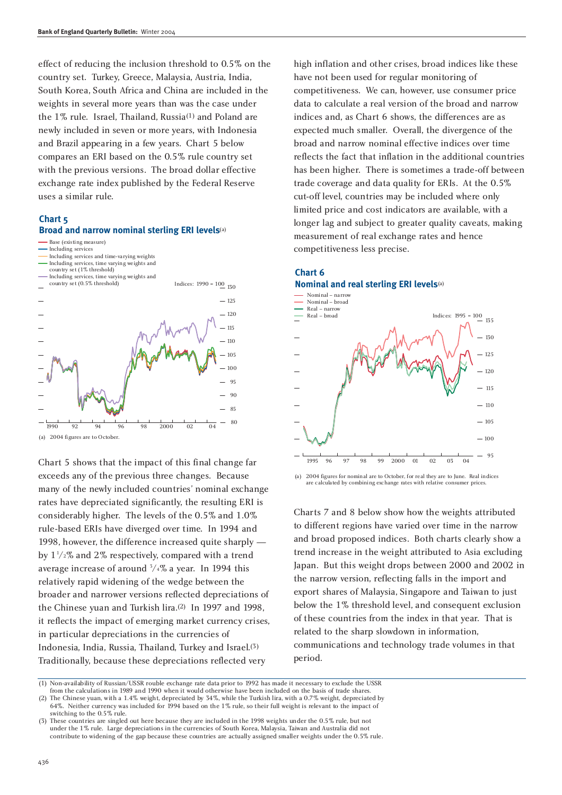effect of reducing the inclusion threshold to 0.5% on the country set. Turkey, Greece, Malaysia, Austria, India, South Korea, South Africa and China are included in the weights in several more years than was the case under the 1% rule. Israel, Thailand, Russia(1) and Poland are newly included in seven or more years, with Indonesia and Brazil appearing in a few years. Chart 5 below compares an ERI based on the 0.5% rule country set with the previous versions. The broad dollar effective exchange rate index published by the Federal Reserve uses a similar rule.

### **Chart 5**

#### **Broad and narrow nominal sterling ERI levels**(a)



- Including services Including services and time-varying weights
- Including services, time varying weights and
- country set (1% threshold)



Chart 5 shows that the impact of this final change far exceeds any of the previous three changes. Because many of the newly included countries' nominal exchange rates have depreciated significantly, the resulting ERI is considerably higher. The levels of the 0.5% and 1.0% rule-based ERIs have diverged over time. In 1994 and 1998, however, the difference increased quite sharply by  $1\frac{1}{2}\%$  and  $2\%$  respectively, compared with a trend average increase of around 3 /4% a year. In 1994 this relatively rapid widening of the wedge between the broader and narrower versions reflected depreciations of the Chinese yuan and Turkish lira.(2) In 1997 and 1998, it reflects the impact of emerging market currency crises, in particular depreciations in the currencies of Indonesia, India, Russia, Thailand, Turkey and Israel.(3) Traditionally, because these depreciations reflected very

high inflation and other crises, broad indices like these have not been used for regular monitoring of competitiveness. We can, however, use consumer price data to calculate a real version of the broad and narrow indices and, as Chart 6 shows, the differences are as expected much smaller. Overall, the divergence of the broad and narrow nominal effective indices over time reflects the fact that inflation in the additional countries has been higher. There is sometimes a trade-off between trade coverage and data quality for ERIs. At the 0.5% cut-off level, countries may be included where only limited price and cost indicators are available, with a longer lag and subject to greater quality caveats, making measurement of real exchange rates and hence competitiveness less precise.





(a) 2004 figures for nominal are to October, for real they are to June. Real indices are calculated by combining exchange rates with relative consumer prices.

Charts 7 and 8 below show how the weights attributed to different regions have varied over time in the narrow and broad proposed indices. Both charts clearly show a trend increase in the weight attributed to Asia excluding Japan. But this weight drops between 2000 and 2002 in the narrow version, reflecting falls in the import and export shares of Malaysia, Singapore and Taiwan to just below the 1% threshold level, and consequent exclusion of these countries from the index in that year. That is related to the sharp slowdown in information, communications and technology trade volumes in that period.

<sup>(1)</sup> Non-availability of Russian/USSR rouble exchange rate data prior to 1992 has made it necessary to exclude the USSR from the calculations in 1989 and 1990 when it would otherwise have been included on the basis of trade shares.

<sup>(2)</sup> The Chinese yuan, with a 1.4% weight, depreciated by 34%, while the Turkish lira, with a 0.7% weight, depreciated by 64%. Neither currency was included for 1994 based on the 1% rule, so their full weight is relevant to the impact of switching to the 0.5% rule.

<sup>(3)</sup> These countries are singled out here because they are included in the 1998 weights under the 0.5% rule, but not under the 1% rule. Large depreciations in the currencies of South Korea, Malaysia, Taiwan and Australia did not contribute to widening of the gap because these countries are actually assigned smaller weights under the 0.5% rule.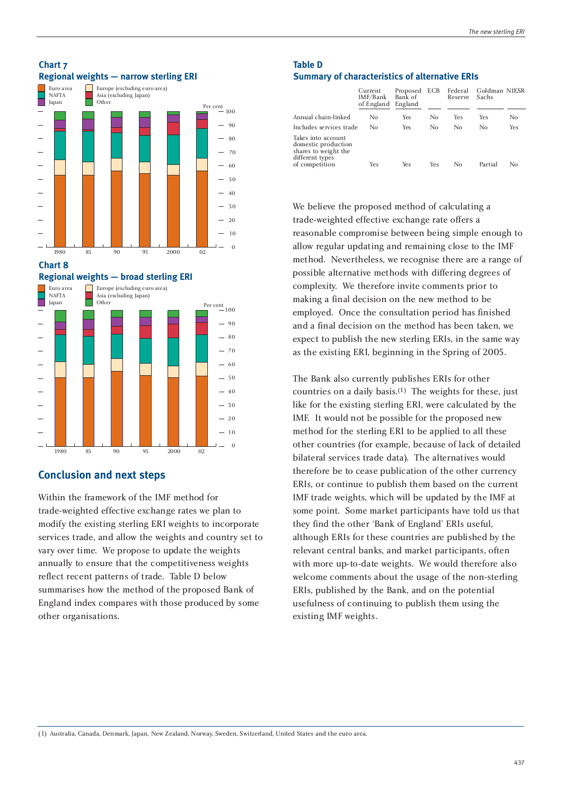

**Regional weights — broad sterling ERI**



#### **Conclusion and next steps**

Within the framework of the IMF method for trade-weighted effective exchange rates we plan to modify the existing sterling ERI weights to incorporate services trade, and allow the weights and country set to vary over time. We propose to update the weights annually to ensure that the competitiveness weights reflect recent patterns of trade. Table D below summarises how the method of the proposed Bank of England index compares with those produced by some other organisations.

### **Table D Summary of characteristics of alternative ERIs**

|                                                                                                        | Current<br>IMF/Bank<br>of England | Proposed<br>Bank of<br>England | <b>ECB</b> | Federal<br>Reserve | Goldman NIESR<br>Sachs |     |
|--------------------------------------------------------------------------------------------------------|-----------------------------------|--------------------------------|------------|--------------------|------------------------|-----|
| Annual chain-linked                                                                                    | Nο                                | Yes                            | No         | Yes                | Yes                    | No  |
| Includes services trade                                                                                | Nο                                | Yes                            | No         | No                 | No                     | Yes |
| Takes into account<br>domestic production<br>shares to weight the<br>different types<br>of competition | Yes                               | Yes                            | Yes        | No                 | Partial                | Nο  |

We believe the proposed method of calculating a trade-weighted effective exchange rate offers a reasonable compromise between being simple enough to allow regular updating and remaining close to the IMF method. Nevertheless, we recognise there are a range of possible alternative methods with differing degrees of complexity. We therefore invite comments prior to making a final decision on the new method to be employed. Once the consultation period has finished and a final decision on the method has been taken, we expect to publish the new sterling ERIs, in the same way as the existing ERI, beginning in the Spring of 2005.

The Bank also currently publishes ERIs for other countries on a daily basis.(1) The weights for these, just like for the existing sterling ERI, were calculated by the IMF. It would not be possible for the proposed new method for the sterling ERI to be applied to all these other countries (for example, because of lack of detailed bilateral services trade data). The alternatives would therefore be to cease publication of the other currency ERIs, or continue to publish them based on the current IMF trade weights, which will be updated by the IMF at some point. Some market participants have told us that they find the other 'Bank of England' ERIs useful, although ERIs for these countries are published by the relevant central banks, and market participants, often with more up-to-date weights. We would therefore also welcome comments about the usage of the non-sterling ERIs, published by the Bank, and on the potential usefulness of continuing to publish them using the existing IMF weights.

(1) Australia, Canada, Denmark, Japan, New Zealand, Norway, Sweden, Switzerland, United States and the euro area.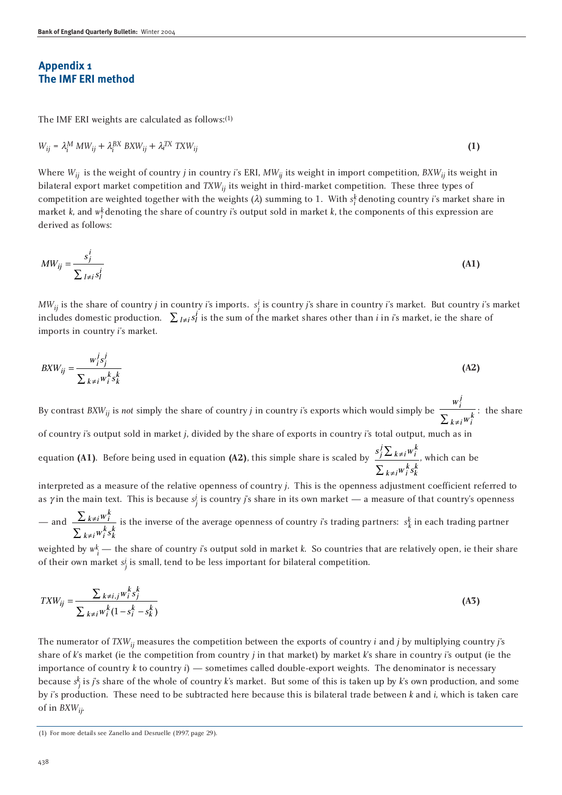### **Appendix 1 The IMF ERI method**

The IMF ERI weights are calculated as follows:(1)

$$
W_{ij} = \lambda_i^M \, MW_{ij} + \lambda_i^{BX} \, BXW_{ij} + \lambda_i^{TX} \, TXW_{ij}
$$
 (1)

Where  $W_{ij}$  is the weight of country *j* in country *i*'s ERI,  $MW_{ij}$  its weight in import competition,  $BXW_{ij}$  its weight in bilateral export market competition and *TXWij* its weight in third-market competition. These three types of competition are weighted together with the weights  $(\lambda)$  summing to 1. With  $s_i^k$  denoting country *i*'s market share in market *k*, and *wk <sup>i</sup>* denoting the share of country *i*'s output sold in market *k*, the components of this expression are derived as follows:

$$
MW_{ij} = \frac{s_j^i}{\sum_{l \neq i} s_l^i}
$$
 (A1)

*MWij* is the share of country *j* in country *i*'s imports. *si <sup>j</sup>* is country *j*'s share in country *i*'s market. But country *i*'s market includes domestic production.  $\sum_{i \neq j} s_i^i$  is the sum of the market shares other than *i* in *i*'s market, ie the share of imports in country *i*'s market.

$$
BXW_{ij} = \frac{w_j^j s_j^j}{\sum_{k \neq i} w_i^k s_k^k}
$$
 (A2)

By contrast  $B X W_{ij}$  is *not* simply the share of country *j* in country *i*'s exports which would simply be  $\frac{W_i^2}{\sum_{j=1}^{N}x_j}$ : the share w i j  $\sum_{k \neq i} w_i^k$ 

of country *i*'s output sold in market *j*, divided by the share of exports in country *i*'s total output, much as in

equation **(A1)**. Before being used in equation **(A2)**, this simple share is scaled by  $\frac{s'_j \sum k \neq i w_i^2}{s'_j \sum k \neq i w_i^2}$ , which can be  $W: S$  $\int_{j}^{j} \sum_{k \neq i} w_{i}^{k}$  $k \neq i \stackrel{k}{w_i^k s_k^k}$  $\neq$  $\neq$  $\sum$  $\sum$ 

interpreted as a measure of the relative openness of country *j*. This is the openness adjustment coefficient referred to as  $\gamma$  in the main text. This is because  $s_j^j$  is country *j*'s share in its own market — a measure of that country's openness

$$
-\text{ and }\frac{\sum_{k\neq i}w_i^k}{\sum_{k\neq i}w_i^ks_k^k}
$$
 is the inverse of the average openness of country *i*'s trading partners:  $s_k^k$  in each trading partner

weighted by  $w_i^k$  — the share of country *i*'s output sold in market *k*. So countries that are relatively open, ie their share of their own market  $s_j^j$  is small, tend to be less important for bilateral competition.

$$
T X W_{ij} = \frac{\sum_{k \neq i, j} w_i^k s_j^k}{\sum_{k \neq i} w_i^k (1 - s_i^k - s_k^k)}
$$
(A3)

The numerator of *TXWij* measures the competition between the exports of country *i* and *j* by multiplying country *j*'s share of *k*'s market (ie the competition from country *j* in that market) by market *k*'s share in country *i*'s output (ie the importance of country *k* to country *i*) — sometimes called double-export weights. The denominator is necessary because *sk <sup>j</sup>* is *j*'s share of the whole of country *k*'s market. But some of this is taken up by *k*'s own production, and some by *i*'s production. These need to be subtracted here because this is bilateral trade between *k* and *i*, which is taken care of in *BXWij*.

<sup>(1)</sup> For more details see Zanello and Desruelle (1997, page 29).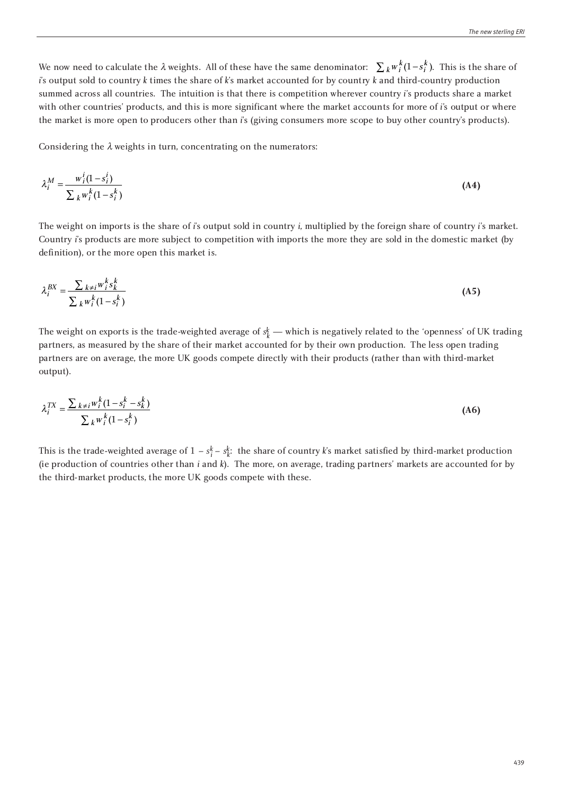We now need to calculate the  $\lambda$  weights. All of these have the same denominator:  $\sum_k w_i^k (1-s_i^k)$ . This is the share of *i*'s output sold to country *k* times the share of *k*'s market accounted for by country *k* and third-country production summed across all countries. The intuition is that there is competition wherever country *i*'s products share a market with other countries' products, and this is more significant where the market accounts for more of *i*'s output or where the market is more open to producers other than *i*'s (giving consumers more scope to buy other country's products).

Considering the  $\lambda$  weights in turn, concentrating on the numerators:

$$
\lambda_i^M = \frac{w_i^i (1 - s_i^i)}{\sum_k w_i^k (1 - s_i^k)}
$$
(A4)

The weight on imports is the share of *i*'s output sold in country *i*, multiplied by the foreign share of country *i*'s market. Country *i*'s products are more subject to competition with imports the more they are sold in the domestic market (by definition), or the more open this market is.

$$
\lambda_i^{BX} = \frac{\sum_{k \neq i} w_i^k s_k^k}{\sum_k w_i^k (1 - s_i^k)}
$$
\n(A5)

The weight on exports is the trade-weighted average of  $s^k_k$  — which is negatively related to the 'openness' of UK trading partners, as measured by the share of their market accounted for by their own production. The less open trading partners are on average, the more UK goods compete directly with their products (rather than with third-market output).

$$
\lambda_i^{TX} = \frac{\sum_{k \neq i} w_i^k (1 - s_i^k - s_k^k)}{\sum_{k} w_i^k (1 - s_i^k)}
$$
(A6)

This is the trade-weighted average of  $1 - s_i^k - s_k^k$ : the share of country *k*'s market satisfied by third-market production (ie production of countries other than *i* and *k*). The more, on average, trading partners' markets are accounted for by the third-market products, the more UK goods compete with these.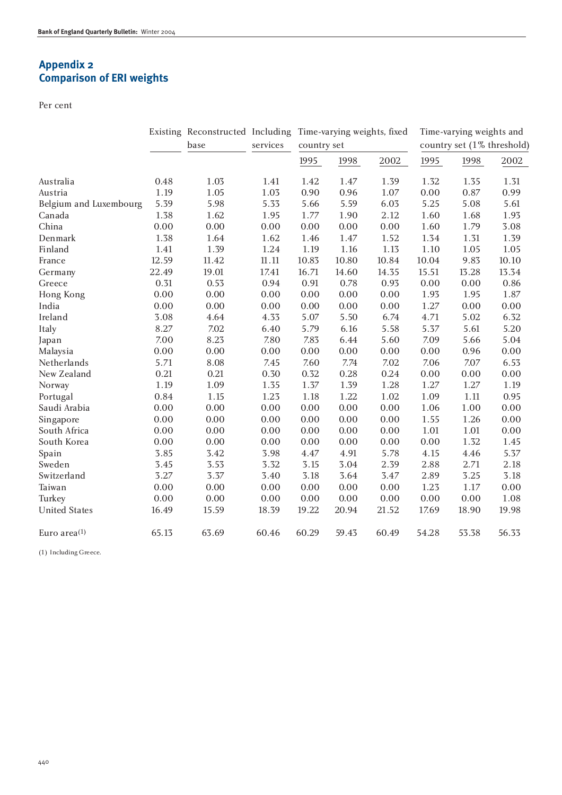# **Appendix 2 Comparison of ERI weights**

Per cent

|                        |       | base  | services  | Existing Reconstructed Including Time-varying weights, fixed<br>country set |          |       | Time-varying weights and<br>country set (1% threshold) |        |       |
|------------------------|-------|-------|-----------|-----------------------------------------------------------------------------|----------|-------|--------------------------------------------------------|--------|-------|
|                        |       |       |           |                                                                             |          |       |                                                        |        |       |
|                        |       |       |           | 1995                                                                        | 1998     | 2002  | 1995                                                   | 1998   | 2002  |
| Australia              | 0.48  | 1.03  | 1.41      | 1.42                                                                        | 1.47     | 1.39  | 1.32                                                   | 1.35   | 1.31  |
| Austria                | 1.19  | 1.05  | 1.03      | 0.90                                                                        | 0.96     | 1.07  | 0.00                                                   | 0.87   | 0.99  |
| Belgium and Luxembourg | 5.39  | 5.98  | 5.33      | 5.66                                                                        | 5.59     | 6.03  | 5.25                                                   | 5.08   | 5.61  |
| Canada                 | 1.38  | 1.62  | 1.95      | 1.77                                                                        | 1.90     | 2.12  | 1.60                                                   | 1.68   | 1.93  |
| China                  | 0.00  | 0.00  | 0.00      | 0.00                                                                        | 0.00     | 0.00  | 1.60                                                   | 1.79   | 3.08  |
| Denmark                | 1.38  | 1.64  | 1.62      | 1.46                                                                        | 1.47     | 1.52  | 1.34                                                   | 1.31   | 1.39  |
| Finland                | 1.41  | 1.39  | 1.24      | 1.19                                                                        | 1.16     | 1.13  | 1.10                                                   | 1.05   | 1.05  |
| France                 | 12.59 | 11.42 | $11.11\,$ | 10.83                                                                       | 10.80    | 10.84 | 10.04                                                  | 9.83   | 10.10 |
| Germany                | 22.49 | 19.01 | 17.41     | 16.71                                                                       | 14.60    | 14.35 | 15.51                                                  | 13.28  | 13.34 |
| Greece                 | 0.31  | 0.53  | 0.94      | 0.91                                                                        | 0.78     | 0.93  | 0.00                                                   | 0.00   | 0.86  |
| Hong Kong              | 0.00  | 0.00  | 0.00      | 0.00                                                                        | $0.00\,$ | 0.00  | 1.93                                                   | 1.95   | 1.87  |
| India                  | 0.00  | 0.00  | 0.00      | 0.00                                                                        | 0.00     | 0.00  | 1.27                                                   | 0.00   | 0.00  |
| Ireland                | 3.08  | 4.64  | 4.33      | 5.07                                                                        | 5.50     | 6.74  | 4.71                                                   | 5.02   | 6.32  |
| Italy                  | 8.27  | 7.02  | 6.40      | 5.79                                                                        | 6.16     | 5.58  | 5.37                                                   | 5.61   | 5.20  |
| Japan                  | 7.00  | 8.23  | 7.80      | 7.83                                                                        | 6.44     | 5.60  | 7.09                                                   | 5.66   | 5.04  |
| Malaysia               | 0.00  | 0.00  | 0.00      | 0.00                                                                        | 0.00     | 0.00  | 0.00                                                   | 0.96   | 0.00  |
| Netherlands            | 5.71  | 8.08  | 7.45      | 7.60                                                                        | 7.74     | 7.02  | 7.06                                                   | 7.07   | 6.53  |
| New Zealand            | 0.21  | 0.21  | 0.30      | 0.32                                                                        | 0.28     | 0.24  | 0.00                                                   | 0.00   | 0.00  |
| Norway                 | 1.19  | 1.09  | 1.35      | 1.37                                                                        | 1.39     | 1.28  | 1.27                                                   | 1.27   | 1.19  |
| Portugal               | 0.84  | 1.15  | 1.23      | 1.18                                                                        | 1.22     | 1.02  | 1.09                                                   | $1.11$ | 0.95  |
| Saudi Arabia           | 0.00  | 0.00  | 0.00      | 0.00                                                                        | 0.00     | 0.00  | 1.06                                                   | 1.00   | 0.00  |
| Singapore              | 0.00  | 0.00  | 0.00      | 0.00                                                                        | 0.00     | 0.00  | 1.55                                                   | 1.26   | 0.00  |
| South Africa           | 0.00  | 0.00  | 0.00      | 0.00                                                                        | 0.00     | 0.00  | 1.01                                                   | 1.01   | 0.00  |
| South Korea            | 0.00  | 0.00  | 0.00      | 0.00                                                                        | $0.00\,$ | 0.00  | 0.00                                                   | 1.32   | 1.45  |
| Spain                  | 3.85  | 3.42  | 3.98      | 4.47                                                                        | 4.91     | 5.78  | 4.15                                                   | 4.46   | 5.37  |
| Sweden                 | 3.45  | 3.53  | 3.32      | 3.15                                                                        | 3.04     | 2.39  | 2.88                                                   | 2.71   | 2.18  |
| Switzerland            | 3.27  | 3.37  | 3.40      | 3.18                                                                        | 3.64     | 3.47  | 2.89                                                   | 3.25   | 3.18  |
| Taiwan                 | 0.00  | 0.00  | 0.00      | 0.00                                                                        | $0.00\,$ | 0.00  | 1.23                                                   | 1.17   | 0.00  |
| Turkey                 | 0.00  | 0.00  | 0.00      | 0.00                                                                        | 0.00     | 0.00  | 0.00                                                   | 0.00   | 1.08  |
| <b>United States</b>   | 16.49 | 15.59 | 18.39     | 19.22                                                                       | 20.94    | 21.52 | 17.69                                                  | 18.90  | 19.98 |
| Euro area $(1)$        | 65.13 | 63.69 | 60.46     | 60.29                                                                       | 59.43    | 60.49 | 54.28                                                  | 53.38  | 56.33 |

(1) Including Greece.